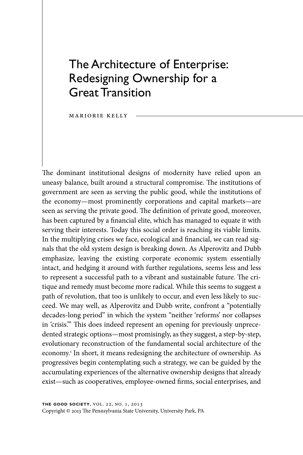# The Architecture of Enterprise: Redesigning Ownership for a Great Transition

marjorie kelly

The dominant institutional designs of modernity have relied upon an uneasy balance, built around a structural compromise. The institutions of government are seen as serving the public good, while the institutions of the economy—most prominently corporations and capital markets—are seen as serving the private good. The definition of private good, moreover, has been captured by a financial elite, which has managed to equate it with serving their interests. Today this social order is reaching its viable limits. In the multiplying crises we face, ecological and financial, we can read signals that the old system design is breaking down. As Alperovitz and Dubb emphasize, leaving the existing corporate economic system essentially intact, and hedging it around with further regulations, seems less and less to represent a successful path to a vibrant and sustainable future. The critique and remedy must become more radical. While this seems to suggest a path of revolution, that too is unlikely to occur, and even less likely to succeed. We may well, as Alperovitz and Dubb write, confront a "potentially decades-long period" in which the system "neither 'reforms' nor collapses in 'crisis.'" This does indeed represent an opening for previously unprecedented strategic options—most promisingly, as they suggest, a step-by-step, evolutionary reconstruction of the fundamental social architecture of the economy.<sup>1</sup> In short, it means redesigning the architecture of ownership. As progressives begin contemplating such a strategy, we can be guided by the accumulating experiences of the alternative ownership designs that already exist—such as cooperatives, employee-owned firms, social enterprises, and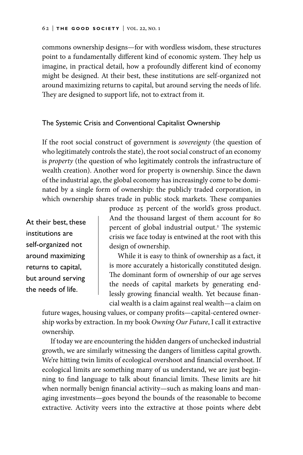commons ownership designs—for with wordless wisdom, these structures point to a fundamentally different kind of economic system. They help us imagine, in practical detail, how a profoundly different kind of economy might be designed. At their best, these institutions are self-organized not around maximizing returns to capital, but around serving the needs of life. They are designed to support life, not to extract from it.

## The Systemic Crisis and Conventional Capitalist Ownership

If the root social construct of government is *sovereignty* (the question of who legitimately controls the state), the root social construct of an economy is *property* (the question of who legitimately controls the infrastructure of wealth creation). Another word for property is ownership. Since the dawn of the industrial age, the global economy has increasingly come to be dominated by a single form of ownership: the publicly traded corporation, in which ownership shares trade in public stock markets. These companies

At their best, these institutions are self-organized not around maximizing returns to capital, but around serving the needs of life.

produce 25 percent of the world's gross product. And the thousand largest of them account for 80 percent of global industrial output.2 The systemic crisis we face today is entwined at the root with this design of ownership.

While it is easy to think of ownership as a fact, it is more accurately a historically constituted design. The dominant form of ownership of our age serves the needs of capital markets by generating endlessly growing financial wealth. Yet because financial wealth is a claim against real wealth—a claim on

future wages, housing values, or company profits—capital-centered ownership works by extraction. In my book *Owning Our Future*, I call it extractive ownership.

If today we are encountering the hidden dangers of unchecked industrial growth, we are similarly witnessing the dangers of limitless capital growth. We're hitting twin limits of ecological overshoot and financial overshoot. If ecological limits are something many of us understand, we are just beginning to find language to talk about financial limits. These limits are hit when normally benign financial activity—such as making loans and managing investments—goes beyond the bounds of the reasonable to become extractive. Activity veers into the extractive at those points where debt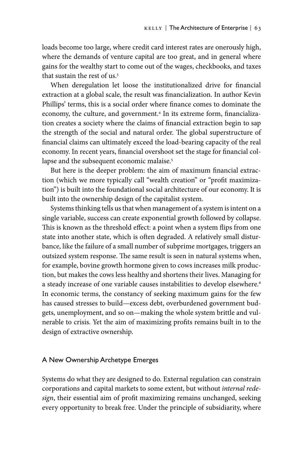loads become too large, where credit card interest rates are onerously high, where the demands of venture capital are too great, and in general where gains for the wealthy start to come out of the wages, checkbooks, and taxes that sustain the rest of us.3

When deregulation let loose the institutionalized drive for financial extraction at a global scale, the result was financialization. In author Kevin Phillips' terms, this is a social order where finance comes to dominate the economy, the culture, and government.4 In its extreme form, financialization creates a society where the claims of financial extraction begin to sap the strength of the social and natural order. The global superstructure of financial claims can ultimately exceed the load-bearing capacity of the real economy. In recent years, financial overshoot set the stage for financial collapse and the subsequent economic malaise.<sup>5</sup>

But here is the deeper problem: the aim of maximum financial extraction (which we more typically call "wealth creation" or "profit maximization") is built into the foundational social architecture of our economy. It is built into the ownership design of the capitalist system.

Systems thinking tells us that when management of a system is intent on a single variable, success can create exponential growth followed by collapse. This is known as the threshold effect: a point when a system flips from one state into another state, which is often degraded. A relatively small disturbance, like the failure of a small number of subprime mortgages, triggers an outsized system response. The same result is seen in natural systems when, for example, bovine growth hormone given to cows increases milk production, but makes the cows less healthy and shortens their lives. Managing for a steady increase of one variable causes instabilities to develop elsewhere.<sup>6</sup> In economic terms, the constancy of seeking maximum gains for the few has caused stresses to build—excess debt, overburdened government budgets, unemployment, and so on—making the whole system brittle and vulnerable to crisis. Yet the aim of maximizing profits remains built in to the design of extractive ownership.

### A New Ownership Archetype Emerges

Systems do what they are designed to do. External regulation can constrain corporations and capital markets to some extent, but without *internal redesign*, their essential aim of profit maximizing remains unchanged, seeking every opportunity to break free. Under the principle of subsidiarity, where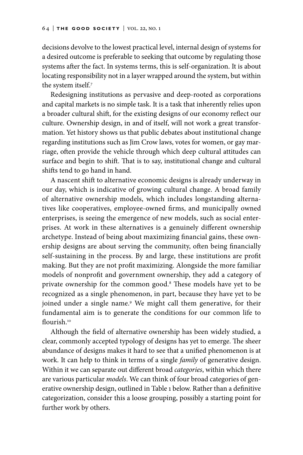decisions devolve to the lowest practical level, internal design of systems for a desired outcome is preferable to seeking that outcome by regulating those systems after the fact. In systems terms, this is self-organization. It is about locating responsibility not in a layer wrapped around the system, but within the system itself.7

Redesigning institutions as pervasive and deep-rooted as corporations and capital markets is no simple task. It is a task that inherently relies upon a broader cultural shift, for the existing designs of our economy reflect our culture. Ownership design, in and of itself, will not work a great transformation. Yet history shows us that public debates about institutional change regarding institutions such as Jim Crow laws, votes for women, or gay marriage, often provide the vehicle through which deep cultural attitudes can surface and begin to shift. That is to say, institutional change and cultural shifts tend to go hand in hand.

A nascent shift to alternative economic designs is already underway in our day, which is indicative of growing cultural change. A broad family of alternative ownership models, which includes longstanding alternatives like cooperatives, employee-owned firms, and municipally owned enterprises, is seeing the emergence of new models, such as social enterprises. At work in these alternatives is a genuinely different ownership archetype. Instead of being about maximizing financial gains, these ownership designs are about serving the community, often being financially self-sustaining in the process. By and large, these institutions are profit making. But they are not profit maximizing. Alongside the more familiar models of nonprofit and government ownership, they add a category of private ownership for the common good.<sup>8</sup> These models have yet to be recognized as a single phenomenon, in part, because they have yet to be joined under a single name.<sup>9</sup> We might call them generative, for their fundamental aim is to generate the conditions for our common life to flourish.10

Although the field of alternative ownership has been widely studied, a clear, commonly accepted typology of designs has yet to emerge. The sheer abundance of designs makes it hard to see that a unified phenomenon is at work. It can help to think in terms of a single *family* of generative design. Within it we can separate out different broad *categories*, within which there are various particular *models*. We can think of four broad categories of generative ownership design, outlined in Table 1 below. Rather than a definitive categorization, consider this a loose grouping, possibly a starting point for further work by others.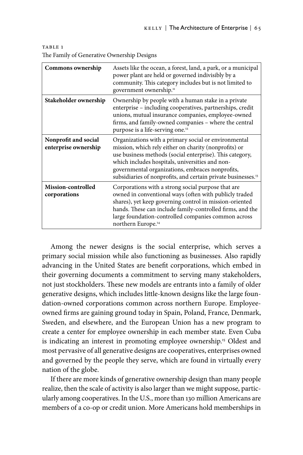| Commons ownership                            | Assets like the ocean, a forest, land, a park, or a municipal<br>power plant are held or governed indivisibly by a<br>community. This category includes but is not limited to<br>government ownership. <sup>11</sup>                                                                                                                                          |
|----------------------------------------------|---------------------------------------------------------------------------------------------------------------------------------------------------------------------------------------------------------------------------------------------------------------------------------------------------------------------------------------------------------------|
| Stakeholder ownership                        | Ownership by people with a human stake in a private<br>enterprise – including cooperatives, partnerships, credit<br>unions, mutual insurance companies, employee-owned<br>firms, and family-owned companies - where the central<br>purpose is a life-serving one. <sup>12</sup>                                                                               |
| Nonprofit and social<br>enterprise ownership | Organizations with a primary social or environmental<br>mission, which rely either on charity (nonprofits) or<br>use business methods (social enterprise). This category,<br>which includes hospitals, universities and non-<br>governmental organizations, embraces nonprofits,<br>subsidiaries of nonprofits, and certain private businesses. <sup>13</sup> |
| <b>Mission-controlled</b><br>corporations    | Corporations with a strong social purpose that are<br>owned in conventional ways (often with publicly traded<br>shares), yet keep governing control in mission-oriented<br>hands. These can include family-controlled firms, and the<br>large foundation-controlled companies common across<br>northern Europe. <sup>14</sup>                                 |

TABLE 1 The Family of Generative Ownership Designs

Among the newer designs is the social enterprise, which serves a primary social mission while also functioning as businesses. Also rapidly advancing in the United States are benefit corporations, which embed in their governing documents a commitment to serving many stakeholders, not just stockholders. These new models are entrants into a family of older generative designs, which includes little-known designs like the large foundation-owned corporations common across northern Europe. Employeeowned firms are gaining ground today in Spain, Poland, France, Denmark, Sweden, and elsewhere, and the European Union has a new program to create a center for employee ownership in each member state. Even Cuba is indicating an interest in promoting employee ownership.<sup>15</sup> Oldest and most pervasive of all generative designs are cooperatives, enterprises owned and governed by the people they serve, which are found in virtually every nation of the globe.

If there are more kinds of generative ownership design than many people realize, then the scale of activity is also larger than we might suppose, particularly among cooperatives. In the U.S., more than 130 million Americans are members of a co-op or credit union. More Americans hold memberships in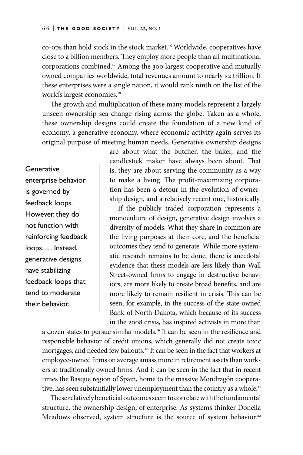co-ops than hold stock in the stock market.16 Worldwide, cooperatives have close to a billion members. They employ more people than all multinational corporations combined.17 Among the 300 largest cooperative and mutually owned companies worldwide, total revenues amount to nearly \$2 trillion. If these enterprises were a single nation, it would rank ninth on the list of the world's largest economies.18

The growth and multiplication of these many models represent a largely unseen ownership sea change rising across the globe. Taken as a whole, these ownership designs could create the foundation of a new kind of economy, a generative economy, where economic activity again serves its original purpose of meeting human needs. Generative ownership designs

**Generative** enterprise behavior is governed by feedback loops. However, they do not function with reinforcing feedback loops. . . . Instead, generative designs have stabilizing feedback loops that tend to moderate their behavior.

are about what the butcher, the baker, and the candlestick maker have always been about. That is, they are about serving the community as a way to make a living. The profit-maximizing corporation has been a detour in the evolution of ownership design, and a relatively recent one, historically.

If the publicly traded corporation represents a monoculture of design, generative design involves a diversity of models. What they share in common are the living purposes at their core, and the beneficial outcomes they tend to generate. While more systematic research remains to be done, there is anecdotal evidence that these models are less likely than Wall Street-owned firms to engage in destructive behaviors, are more likely to create broad benefits, and are more likely to remain resilient in crisis. This can be seen, for example, in the success of the state-owned Bank of North Dakota, which because of its success in the 2008 crisis, has inspired activists in more than

a dozen states to pursue similar models.<sup>19</sup> It can be seen in the resilience and responsible behavior of credit unions, which generally did not create toxic mortgages, and needed few bailouts.<sup>20</sup> It can be seen in the fact that workers at employee-owned firms on average amass more in retirement assets than workers at traditionally owned firms. And it can be seen in the fact that in recent times the Basque region of Spain, home to the massive Mondragón cooperative, has seen substantially lower unemployment than the country as a whole.<sup>21</sup>

These relatively beneficial outcomes seem to correlate with the fundamental structure, the ownership design, of enterprise. As systems thinker Donella Meadows observed, system structure is the source of system behavior.<sup>22</sup>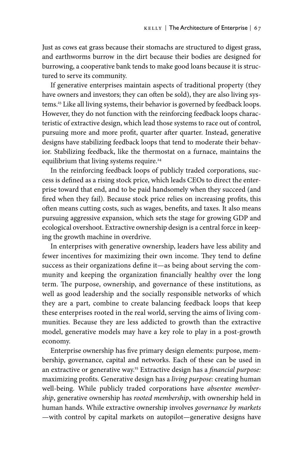Just as cows eat grass because their stomachs are structured to digest grass, and earthworms burrow in the dirt because their bodies are designed for burrowing, a cooperative bank tends to make good loans because it is structured to serve its community.

If generative enterprises maintain aspects of traditional property (they have owners and investors; they can often be sold), they are also living systems.<sup>23</sup> Like all living systems, their behavior is governed by feedback loops. However, they do not function with the reinforcing feedback loops characteristic of extractive design, which lead those systems to race out of control, pursuing more and more profit, quarter after quarter. Instead, generative designs have stabilizing feedback loops that tend to moderate their behavior. Stabilizing feedback, like the thermostat on a furnace, maintains the equilibrium that living systems require.<sup>24</sup>

In the reinforcing feedback loops of publicly traded corporations, success is defined as a rising stock price, which leads CEOs to direct the enterprise toward that end, and to be paid handsomely when they succeed (and fired when they fail). Because stock price relies on increasing profits, this often means cutting costs, such as wages, benefits, and taxes. It also means pursuing aggressive expansion, which sets the stage for growing GDP and ecological overshoot. Extractive ownership design is a central force in keeping the growth machine in overdrive.

In enterprises with generative ownership, leaders have less ability and fewer incentives for maximizing their own income. They tend to define success as their organizations define it—as being about serving the community and keeping the organization financially healthy over the long term. The purpose, ownership, and governance of these institutions, as well as good leadership and the socially responsible networks of which they are a part, combine to create balancing feedback loops that keep these enterprises rooted in the real world, serving the aims of living communities. Because they are less addicted to growth than the extractive model, generative models may have a key role to play in a post-growth economy.

Enterprise ownership has five primary design elements: purpose, membership, governance, capital and networks. Each of these can be used in an extractive or generative way.25 Extractive design has a *financial purpose:* maximizing profits. Generative design has a *living purpose:* creating human well-being. While publicly traded corporations have *absentee membership*, generative ownership has *rooted membership*, with ownership held in human hands. While extractive ownership involves *governance by markets* —with control by capital markets on autopilot—generative designs have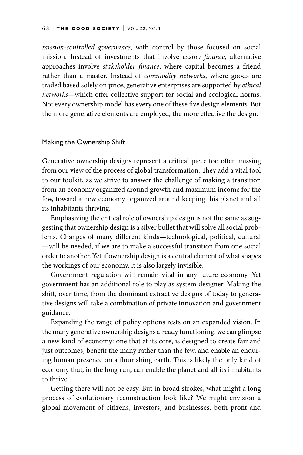*mission-controlled governance*, with control by those focused on social mission. Instead of investments that involve *casino finance*, alternative approaches involve *stakeholder finance*, where capital becomes a friend rather than a master. Instead of *commodity networks*, where goods are traded based solely on price, generative enterprises are supported by *ethical networks*—which offer collective support for social and ecological norms. Not every ownership model has every one of these five design elements. But the more generative elements are employed, the more effective the design.

#### Making the Ownership Shift

Generative ownership designs represent a critical piece too often missing from our view of the process of global transformation. They add a vital tool to our toolkit, as we strive to answer the challenge of making a transition from an economy organized around growth and maximum income for the few, toward a new economy organized around keeping this planet and all its inhabitants thriving.

Emphasizing the critical role of ownership design is not the same as suggesting that ownership design is a silver bullet that will solve all social problems. Changes of many different kinds—technological, political, cultural —will be needed, if we are to make a successful transition from one social order to another. Yet if ownership design is a central element of what shapes the workings of our economy, it is also largely invisible.

Government regulation will remain vital in any future economy. Yet government has an additional role to play as system designer. Making the shift, over time, from the dominant extractive designs of today to generative designs will take a combination of private innovation and government guidance.

Expanding the range of policy options rests on an expanded vision. In the many generative ownership designs already functioning, we can glimpse a new kind of economy: one that at its core, is designed to create fair and just outcomes, benefit the many rather than the few, and enable an enduring human presence on a flourishing earth. This is likely the only kind of economy that, in the long run, can enable the planet and all its inhabitants to thrive.

Getting there will not be easy. But in broad strokes, what might a long process of evolutionary reconstruction look like? We might envision a global movement of citizens, investors, and businesses, both profit and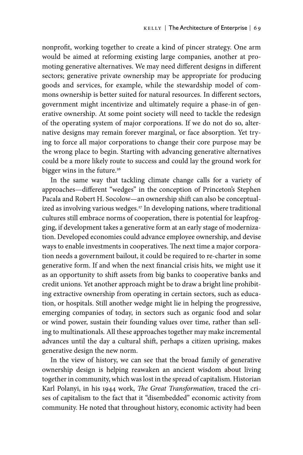nonprofit, working together to create a kind of pincer strategy. One arm would be aimed at reforming existing large companies, another at promoting generative alternatives. We may need different designs in different sectors; generative private ownership may be appropriate for producing goods and services, for example, while the stewardship model of commons ownership is better suited for natural resources. In different sectors, government might incentivize and ultimately require a phase-in of generative ownership. At some point society will need to tackle the redesign of the operating system of major corporations. If we do not do so, alternative designs may remain forever marginal, or face absorption. Yet trying to force all major corporations to change their core purpose may be the wrong place to begin. Starting with advancing generative alternatives could be a more likely route to success and could lay the ground work for bigger wins in the future.<sup>26</sup>

In the same way that tackling climate change calls for a variety of approaches—different "wedges" in the conception of Princeton's Stephen Pacala and Robert H. Socolow—an ownership shift can also be conceptualized as involving various wedges.<sup>27</sup> In developing nations, where traditional cultures still embrace norms of cooperation, there is potential for leapfrogging, if development takes a generative form at an early stage of modernization. Developed economies could advance employee ownership, and devise ways to enable investments in cooperatives. The next time a major corporation needs a government bailout, it could be required to re-charter in some generative form. If and when the next financial crisis hits, we might use it as an opportunity to shift assets from big banks to cooperative banks and credit unions. Yet another approach might be to draw a bright line prohibiting extractive ownership from operating in certain sectors, such as education, or hospitals. Still another wedge might lie in helping the progressive, emerging companies of today, in sectors such as organic food and solar or wind power, sustain their founding values over time, rather than selling to multinationals. All these approaches together may make incremental advances until the day a cultural shift, perhaps a citizen uprising, makes generative design the new norm.

In the view of history, we can see that the broad family of generative ownership design is helping reawaken an ancient wisdom about living together in community, which was lost in the spread of capitalism. Historian Karl Polanyi, in his 1944 work, *The Great Transformation*, traced the crises of capitalism to the fact that it "disembedded" economic activity from community. He noted that throughout history, economic activity had been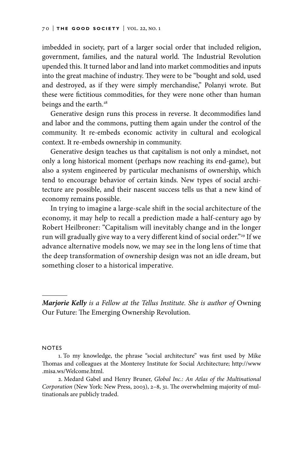imbedded in society, part of a larger social order that included religion, government, families, and the natural world. The Industrial Revolution upended this. It turned labor and land into market commodities and inputs into the great machine of industry. They were to be "bought and sold, used and destroyed, as if they were simply merchandise," Polanyi wrote. But these were fictitious commodities, for they were none other than human beings and the earth.<sup>28</sup>

Generative design runs this process in reverse. It decommodifies land and labor and the commons, putting them again under the control of the community. It re-embeds economic activity in cultural and ecological context. It re-embeds ownership in community.

Generative design teaches us that capitalism is not only a mindset, not only a long historical moment (perhaps now reaching its end-game), but also a system engineered by particular mechanisms of ownership, which tend to encourage behavior of certain kinds. New types of social architecture are possible, and their nascent success tells us that a new kind of economy remains possible.

In trying to imagine a large-scale shift in the social architecture of the economy, it may help to recall a prediction made a half-century ago by Robert Heilbroner: "Capitalism will inevitably change and in the longer run will gradually give way to a very different kind of social order."<sup>29</sup> If we advance alternative models now, we may see in the long lens of time that the deep transformation of ownership design was not an idle dream, but something closer to a historical imperative.

*Marjorie Kelly is a Fellow at the Tellus Institute. She is author of* Owning Our Future: The Emerging Ownership Revolution.

#### **NOTES**

<sup>1.</sup> To my knowledge, the phrase "social architecture" was first used by Mike Thomas and colleagues at the Monterey Institute for Social Architecture; http://www .misa.ws/Welcome.html.

<sup>2.</sup> Medard Gabel and Henry Bruner, *Global Inc.: An Atlas of the Multinational Corporation* (New York: New Press, 2003), 2–8, 31. The overwhelming majority of multinationals are publicly traded.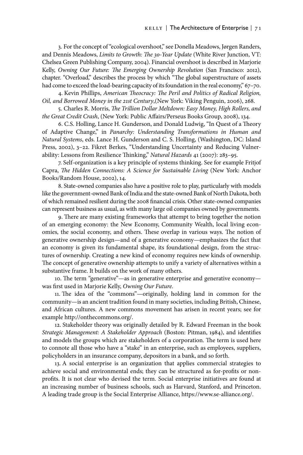3. For the concept of "ecological overshoot," see Donella Meadows, Jørgen Randers, and Dennis Meadows, *Limits to Growth: The 30-Year Update* (White River Junction, VT: Chelsea Green Publishing Company, 2004). Financial overshoot is described in Marjorie Kelly, *Owning Our Future: The Emerging Ownership Revolution* (San Francisco: 2012), chapter. "Overload," describes the process by which "The global superstructure of assets had come to exceed the load-bearing capacity of its foundation in the real economy," 67-70.

4. Kevin Phillips, *American Theocracy: The Peril and Politics of Radical Religion, Oil, and Borrowed Money in the 21st Century*,(New York: Viking Penguin, 2006), 268.

5. Charles R. Morris, *The Trillion Dollar Meltdown: Easy Money, High Rollers, and the Great Credit Crash*, (New York: Public Affairs/Perseus Books Group, 2008), 134.

6. C.S. Holling, Lance H. Gunderson, and Donald Ludwig, "In Quest of a Theory of Adaptive Change," in *Panarchy: Understanding Transformations in Human and Natural Systems*, eds. Lance H. Gunderson and C. S. Holling, (Washington, DC: Island Press, 2002), 3–22. Fikret Berkes, "Understanding Uncertainty and Reducing Vulnerability: Lessons from Resilience Thinking," *Natural Hazards* 41 (2007): 283–95.

7. Self-organization is a key principle of systems thinking. See for example Fritjof Capra, *The Hidden Connections: A Science for Sustainable Living* (New York: Anchor Books/Random House, 2002), 14.

8. State-owned companies also have a positive role to play, particularly with models like the government-owned Bank of India and the state-owned Bank of North Dakota, both of which remained resilient during the 2008 financial crisis. Other state-owned companies can represent business as usual, as with many large oil companies owned by governments.

9. There are many existing frameworks that attempt to bring together the notion of an emerging economy: the New Economy, Community Wealth, local living economies, the social economy, and others. These overlap in various ways. The notion of generative ownership design—and of a generative economy—emphasizes the fact that an economy is given its fundamental shape, its foundational design, from the structures of ownership. Creating a new kind of economy requires new kinds of ownership. The concept of generative ownership attempts to unify a variety of alternatives within a substantive frame. It builds on the work of many others.

10. The term "generative"—as in generative enterprise and generative economy was first used in Marjorie Kelly, *Owning Our Future*.

11. The idea of the "commons"—originally, holding land in common for the community—is an ancient tradition found in many societies, including British, Chinese, and African cultures. A new commons movement has arisen in recent years; see for example http://onthecommons.org/.

12. Stakeholder theory was originally detailed by R. Edward Freeman in the book *Strategic Management: A Stakeholder Approach* (Boston: Pitman, 1984), and identifies and models the groups which are stakeholders of a corporation. The term is used here to connote all those who have a "stake" in an enterprise, such as employees, suppliers, policyholders in an insurance company, depositors in a bank, and so forth.

13. A social enterprise is an organization that applies commercial strategies to achieve social and environmental ends; they can be structured as for-profits or nonprofits. It is not clear who devised the term. Social enterprise initiatives are found at an increasing number of business schools, such as Harvard, Stanford, and Princeton. A leading trade group is the Social Enterprise Alliance, https://www.se-alliance.org/.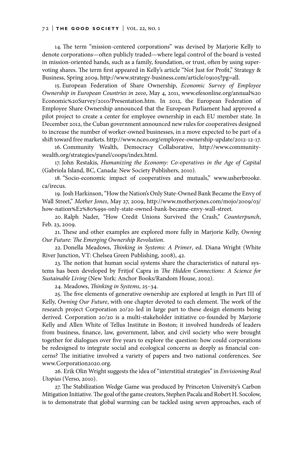14. The term "mission-centered corporations" was devised by Marjorie Kelly to denote corporations—often publicly traded—where legal control of the board is vested in mission-oriented hands, such as a family, foundation, or trust, often by using supervoting shares. The term first appeared in Kelly's article "Not Just for Profit," Strategy & Business, Spring 2009, http://www.strategy-business.com/article/09105?pg=all.

15. European Federation of Share Ownership, *Economic Survey of Employee Ownership in European Countries in 2010*, May 4, 2011, www.efesonline.org/annual%20 Economic%20Survey/2010/Presentation.htm. In 2012, the European Federation of Employee Share Ownership announced that the European Parliament had approved a pilot project to create a center for employee ownership in each EU member state. In December 2012, the Cuban government announced new rules for cooperatives designed to increase the number of worker-owned businesses, in a move expected to be part of a shift toward free markets. http://www.nceo.org/employee-ownership-update/2012-12-17.

16. Community Wealth, Democracy Collaborative, http://www.communitywealth.org/strategies/panel/coops/index.html.

17. John Restakis, *Humanizing the Economy: Co-operatives in the Age of Capital* (Gabriola Island, BC, Canada: New Society Publishers, 2010).

18. "Socio-economic impact of cooperatives and mutuals," www.usherbrooke. ca/irecus.

19. Josh Harkinson, "How the Nation's Only State-Owned Bank Became the Envy of Wall Street," *Mother Jones*, May 27, 2009, http://www.motherjones.com/mojo/2009/03/ how-nation%E2%80%99s-only-state-owned-bank-became-envy-wall-street.

20. Ralph Nader, "How Credit Unions Survived the Crash," *Counterpunch*, Feb. 23, 2009.

21. These and other examples are explored more fully in Marjorie Kelly, *Owning Our Future: The Emerging Ownership Revolution*.

22. Donella Meadows, *Thinking in Systems: A Primer*, ed. Diana Wright (White River Junction, VT: Chelsea Green Publishing, 2008), 42.

23. The notion that human social systems share the characteristics of natural systems has been developed by Fritjof Capra in *The Hidden Connections: A Science for Sustainable Living* (New York: Anchor Books/Random House, 2002).

24. Meadows, *Thinking in Systems*, 25–34.

25. The five elements of generative ownership are explored at length in Part III of Kelly, *Owning Our Future*, with one chapter devoted to each element. The work of the research project Corporation 20/20 led in large part to these design elements being derived. Corporation 20/20 is a multi-stakeholder initiative co-founded by Marjorie Kelly and Allen White of Tellus Institute in Boston; it involved hundreds of leaders from business, finance, law, government, labor, and civil society who were brought together for dialogues over five years to explore the question: how could corporations be redesigned to integrate social and ecological concerns as deeply as financial concerns? The initiative involved a variety of papers and two national conferences. See www.Corporation2020.org.

26. Erik Olin Wright suggests the idea of "interstitial strategies" in *Envisioning Real Utopias* (Verso, 2010).

27. The Stabilization Wedge Game was produced by Princeton University's Carbon Mitigation Initiative. The goal of the game creators, Stephen Pacala and Robert H. Socolow, is to demonstrate that global warming can be tackled using seven approaches, each of